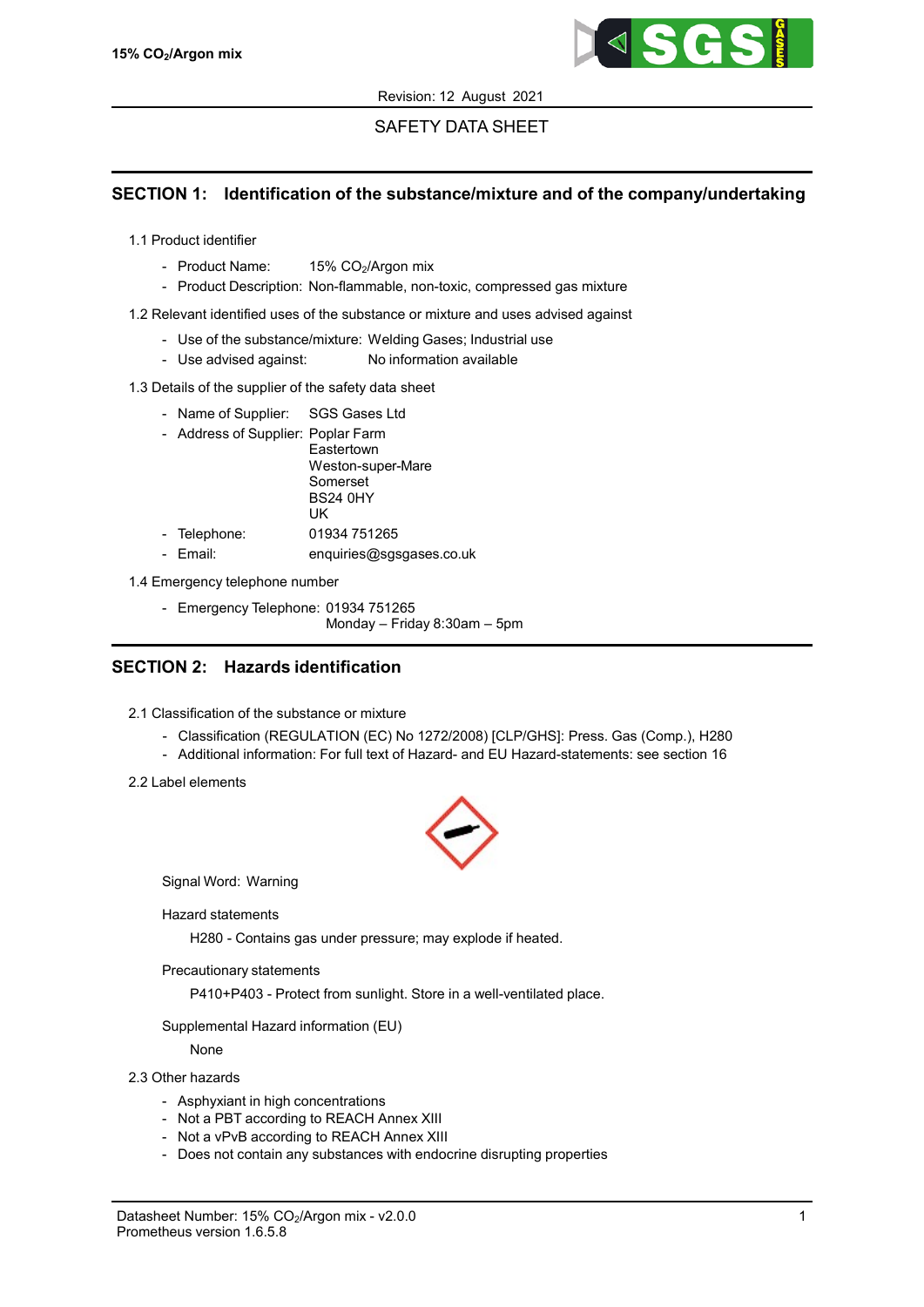

# SAFETY DATA SHEET

## SECTION 1: Identification of the substance/mixture and of the company/undertaking

- 1.1 Product identifier
	- Product Name:  $15\%$  CO<sub>2</sub>/Argon mix
	- Product Description: Non-flammable, non-toxic, compressed gas mixture

1.2 Relevant identified uses of the substance or mixture and uses advised against

- Use of the substance/mixture: Welding Gases; Industrial use
- Use advised against: No information available

### 1.3 Details of the supplier of the safety data sheet

- Name of Supplier: SGS Gases Ltd
- Address of Supplier: Poplar Farm

**Eastertown** Weston-super-Mare Somerset BS24 0HY UK

- Telephone: 01934 751265
- Email: enquiries@sgsgases.co.uk

1.4 Emergency telephone number

- Emergency Telephone: 01934 751265

Monday – Friday 8:30am – 5pm

## SECTION 2: Hazards identification

- 2.1 Classification of the substance or mixture
	- Classification (REGULATION (EC) No 1272/2008) [CLP/GHS]: Press. Gas (Comp.), H280
	- Additional information: For full text of Hazard- and EU Hazard-statements: see section 16
- 2.2 Label elements



Signal Word: Warning

Hazard statements

H280 - Contains gas under pressure; may explode if heated.

Precautionary statements

P410+P403 - Protect from sunlight. Store in a well-ventilated place.

Supplemental Hazard information (EU)

None

### 2.3 Other hazards

- Asphyxiant in high concentrations
- Not a PBT according to REACH Annex XIII
- Not a vPvB according to REACH Annex XIII
- Does not contain any substances with endocrine disrupting properties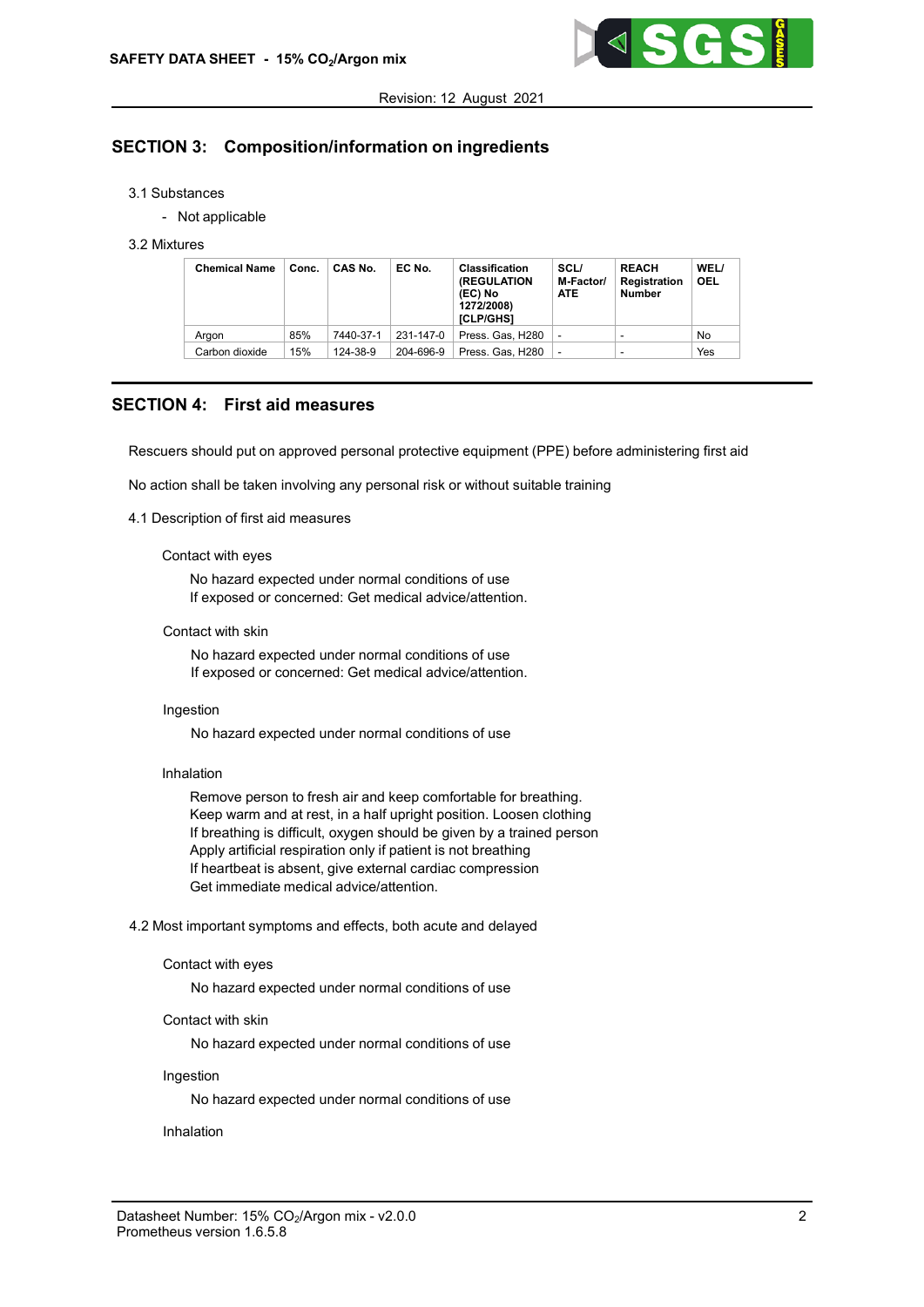

# SECTION 3: Composition/information on ingredients

#### 3.1 Substances

- Not applicable

#### 3.2 Mixtures

| <b>Chemical Name</b> | Conc. | CAS No.   | EC No.    | <b>Classification</b><br><b>(REGULATION</b><br>(EC) No<br>1272/2008)<br>[CLP/GHS] | SCL/<br>M-Factor/<br><b>ATE</b> | <b>REACH</b><br><b>Registration</b><br><b>Number</b> | WEL/<br><b>OEL</b> |
|----------------------|-------|-----------|-----------|-----------------------------------------------------------------------------------|---------------------------------|------------------------------------------------------|--------------------|
| Argon                | 85%   | 7440-37-1 | 231-147-0 | Press, Gas, H280                                                                  | ۰                               |                                                      | No                 |
| Carbon dioxide       | 15%   | 124-38-9  | 204-696-9 | Press. Gas. H280                                                                  | ٠                               | -                                                    | Yes                |

### SECTION 4: First aid measures

Rescuers should put on approved personal protective equipment (PPE) before administering first aid

No action shall be taken involving any personal risk or without suitable training

#### 4.1 Description of first aid measures

#### Contact with eyes

No hazard expected under normal conditions of use If exposed or concerned: Get medical advice/attention.

#### Contact with skin

No hazard expected under normal conditions of use If exposed or concerned: Get medical advice/attention.

#### Ingestion

No hazard expected under normal conditions of use

#### Inhalation

Remove person to fresh air and keep comfortable for breathing. Keep warm and at rest, in a half upright position. Loosen clothing If breathing is difficult, oxygen should be given by a trained person Apply artificial respiration only if patient is not breathing If heartbeat is absent, give external cardiac compression Get immediate medical advice/attention.

4.2 Most important symptoms and effects, both acute and delayed

#### Contact with eyes

No hazard expected under normal conditions of use

### Contact with skin

No hazard expected under normal conditions of use

#### Ingestion

No hazard expected under normal conditions of use

#### Inhalation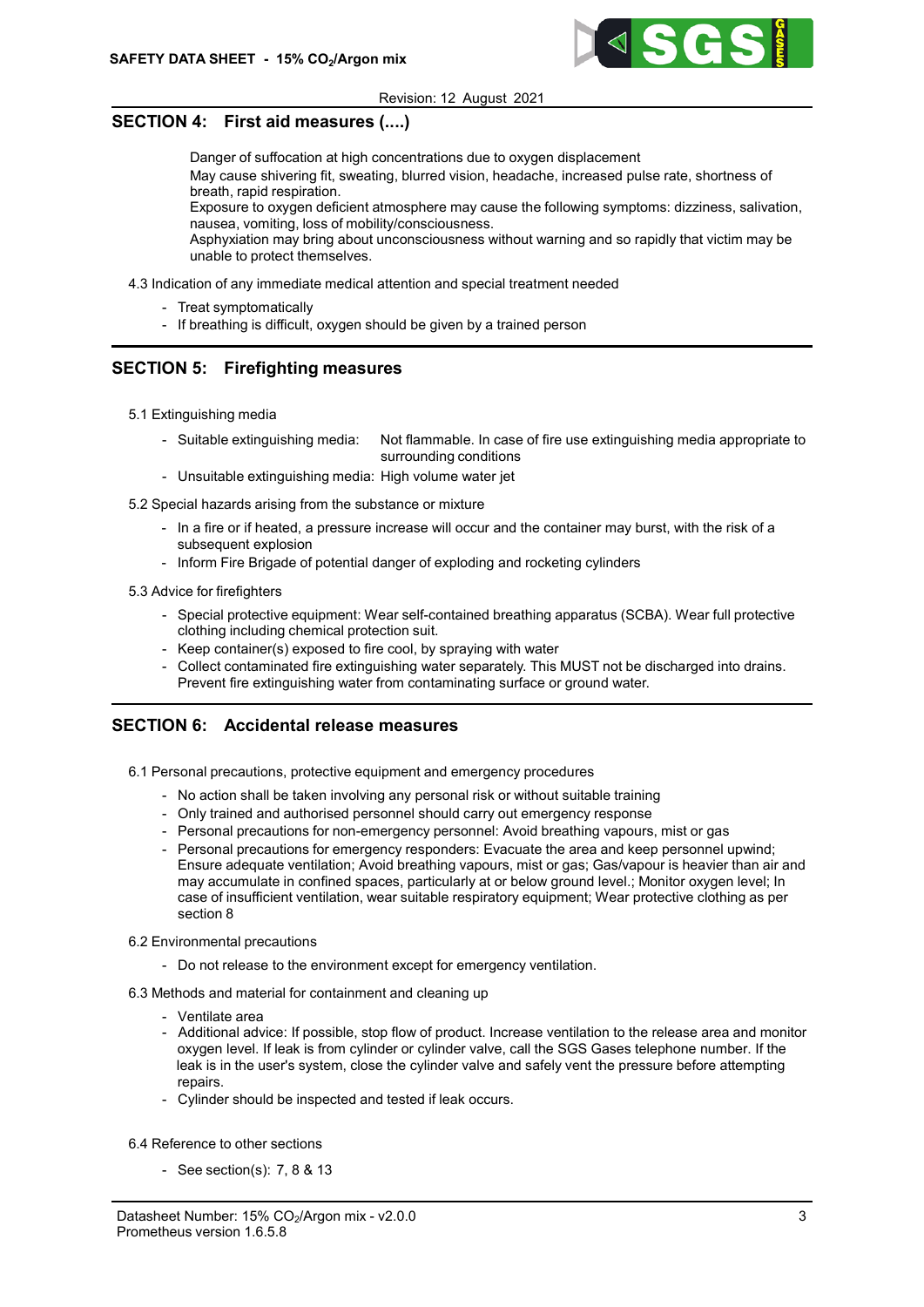

## SECTION 4: First aid measures (....)

Danger of suffocation at high concentrations due to oxygen displacement May cause shivering fit, sweating, blurred vision, headache, increased pulse rate, shortness of breath, rapid respiration. Exposure to oxygen deficient atmosphere may cause the following symptoms: dizziness, salivation, nausea, vomiting, loss of mobility/consciousness.

Asphyxiation may bring about unconsciousness without warning and so rapidly that victim may be unable to protect themselves.

- 4.3 Indication of any immediate medical attention and special treatment needed
	- Treat symptomatically
	- If breathing is difficult, oxygen should be given by a trained person

## SECTION 5: Firefighting measures

- 5.1 Extinguishing media
	- Suitable extinguishing media: Not flammable. In case of fire use extinguishing media appropriate to surrounding conditions
	- Unsuitable extinguishing media: High volume water jet
- 5.2 Special hazards arising from the substance or mixture
	- In a fire or if heated, a pressure increase will occur and the container may burst, with the risk of a subsequent explosion
	- Inform Fire Brigade of potential danger of exploding and rocketing cylinders
- 5.3 Advice for firefighters
	- Special protective equipment: Wear self-contained breathing apparatus (SCBA). Wear full protective clothing including chemical protection suit.
	- Keep container(s) exposed to fire cool, by spraying with water
	- Collect contaminated fire extinguishing water separately. This MUST not be discharged into drains. Prevent fire extinguishing water from contaminating surface or ground water.

## SECTION 6: Accidental release measures

- 6.1 Personal precautions, protective equipment and emergency procedures
	- No action shall be taken involving any personal risk or without suitable training
	- Only trained and authorised personnel should carry out emergency response
	- Personal precautions for non-emergency personnel: Avoid breathing vapours, mist or gas
	- Personal precautions for emergency responders: Evacuate the area and keep personnel upwind; Ensure adequate ventilation; Avoid breathing vapours, mist or gas; Gas/vapour is heavier than air and may accumulate in confined spaces, particularly at or below ground level.; Monitor oxygen level; In case of insufficient ventilation, wear suitable respiratory equipment; Wear protective clothing as per section 8
- 6.2 Environmental precautions
	- Do not release to the environment except for emergency ventilation.
- 6.3 Methods and material for containment and cleaning up
	- Ventilate area
	- Additional advice: If possible, stop flow of product. Increase ventilation to the release area and monitor oxygen level. If leak is from cylinder or cylinder valve, call the SGS Gases telephone number. If the leak is in the user's system, close the cylinder valve and safely vent the pressure before attempting repairs.
	- Cylinder should be inspected and tested if leak occurs.
- 6.4 Reference to other sections
	- See section(s): 7, 8 & 13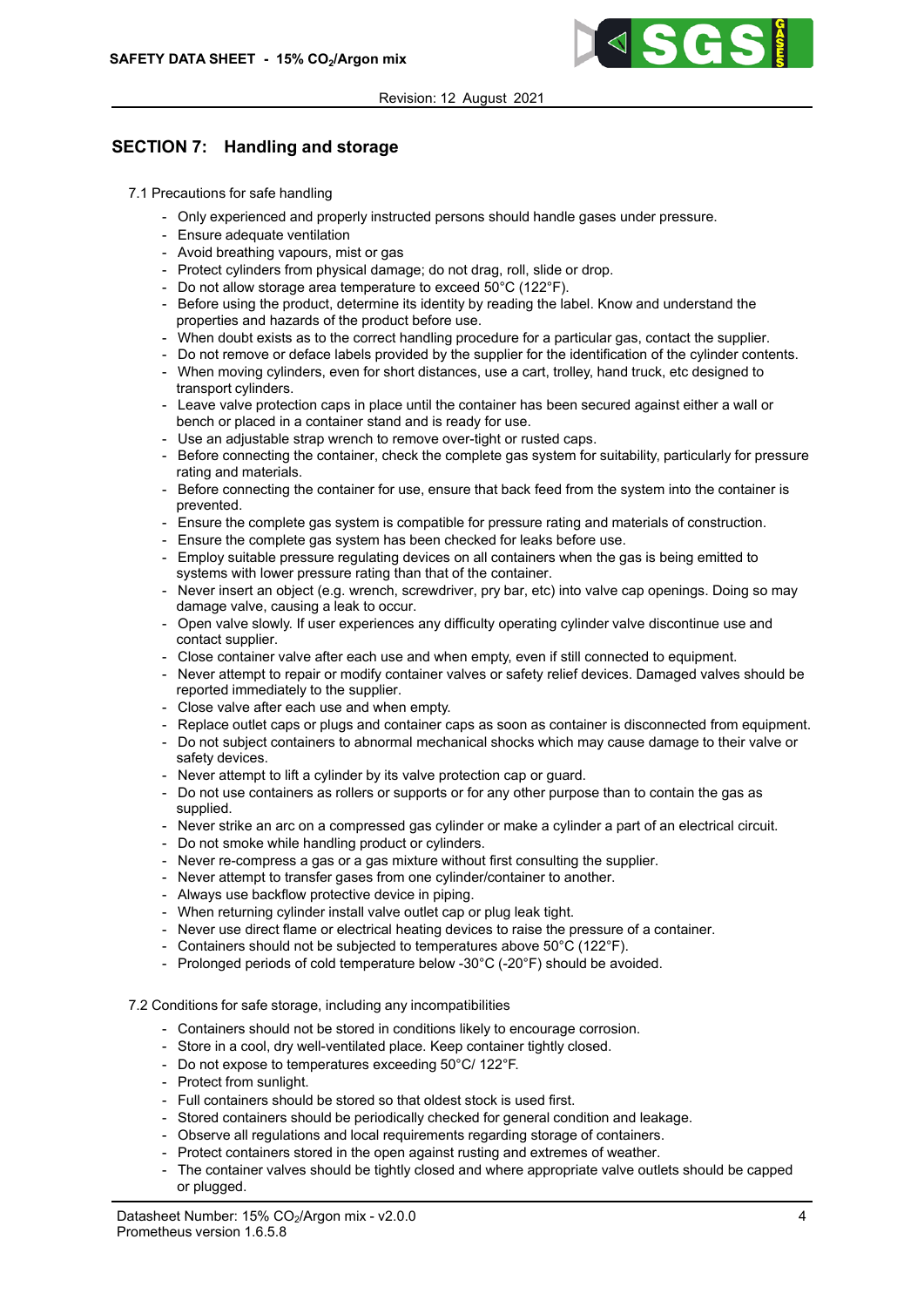

# SECTION 7: Handling and storage

- 7.1 Precautions for safe handling
	- Only experienced and properly instructed persons should handle gases under pressure.
	- Ensure adequate ventilation
	- Avoid breathing vapours, mist or gas
	- Protect cylinders from physical damage; do not drag, roll, slide or drop.
	- Do not allow storage area temperature to exceed 50°C (122°F).
	- Before using the product, determine its identity by reading the label. Know and understand the properties and hazards of the product before use.
	- When doubt exists as to the correct handling procedure for a particular gas, contact the supplier.
	- Do not remove or deface labels provided by the supplier for the identification of the cylinder contents.
	- When moving cylinders, even for short distances, use a cart, trolley, hand truck, etc designed to transport cylinders.
	- Leave valve protection caps in place until the container has been secured against either a wall or bench or placed in a container stand and is ready for use.
	- Use an adjustable strap wrench to remove over-tight or rusted caps.
	- Before connecting the container, check the complete gas system for suitability, particularly for pressure rating and materials.
	- Before connecting the container for use, ensure that back feed from the system into the container is prevented.
	- Ensure the complete gas system is compatible for pressure rating and materials of construction.
	- Ensure the complete gas system has been checked for leaks before use.
	- Employ suitable pressure regulating devices on all containers when the gas is being emitted to systems with lower pressure rating than that of the container.
	- Never insert an object (e.g. wrench, screwdriver, pry bar, etc) into valve cap openings. Doing so may damage valve, causing a leak to occur.
	- Open valve slowly. If user experiences any difficulty operating cylinder valve discontinue use and contact supplier.
	- Close container valve after each use and when empty, even if still connected to equipment.
	- Never attempt to repair or modify container valves or safety relief devices. Damaged valves should be reported immediately to the supplier.
	- Close valve after each use and when empty.
	- Replace outlet caps or plugs and container caps as soon as container is disconnected from equipment.
	- Do not subject containers to abnormal mechanical shocks which may cause damage to their valve or safety devices.
	- Never attempt to lift a cylinder by its valve protection cap or guard.
	- Do not use containers as rollers or supports or for any other purpose than to contain the gas as supplied.
	- Never strike an arc on a compressed gas cylinder or make a cylinder a part of an electrical circuit.
	- Do not smoke while handling product or cylinders.
	- Never re-compress a gas or a gas mixture without first consulting the supplier.
	- Never attempt to transfer gases from one cylinder/container to another.
	- Always use backflow protective device in piping.
	- When returning cylinder install valve outlet cap or plug leak tight.
	- Never use direct flame or electrical heating devices to raise the pressure of a container.
	- Containers should not be subjected to temperatures above 50°C (122°F).
	- Prolonged periods of cold temperature below -30°C (-20°F) should be avoided.

### 7.2 Conditions for safe storage, including any incompatibilities

- Containers should not be stored in conditions likely to encourage corrosion.
- Store in a cool, dry well-ventilated place. Keep container tightly closed.
- Do not expose to temperatures exceeding 50°C/ 122°F.
- Protect from sunlight.
- Full containers should be stored so that oldest stock is used first.
- Stored containers should be periodically checked for general condition and leakage.
- Observe all regulations and local requirements regarding storage of containers.
- Protect containers stored in the open against rusting and extremes of weather.
- The container valves should be tightly closed and where appropriate valve outlets should be capped or plugged.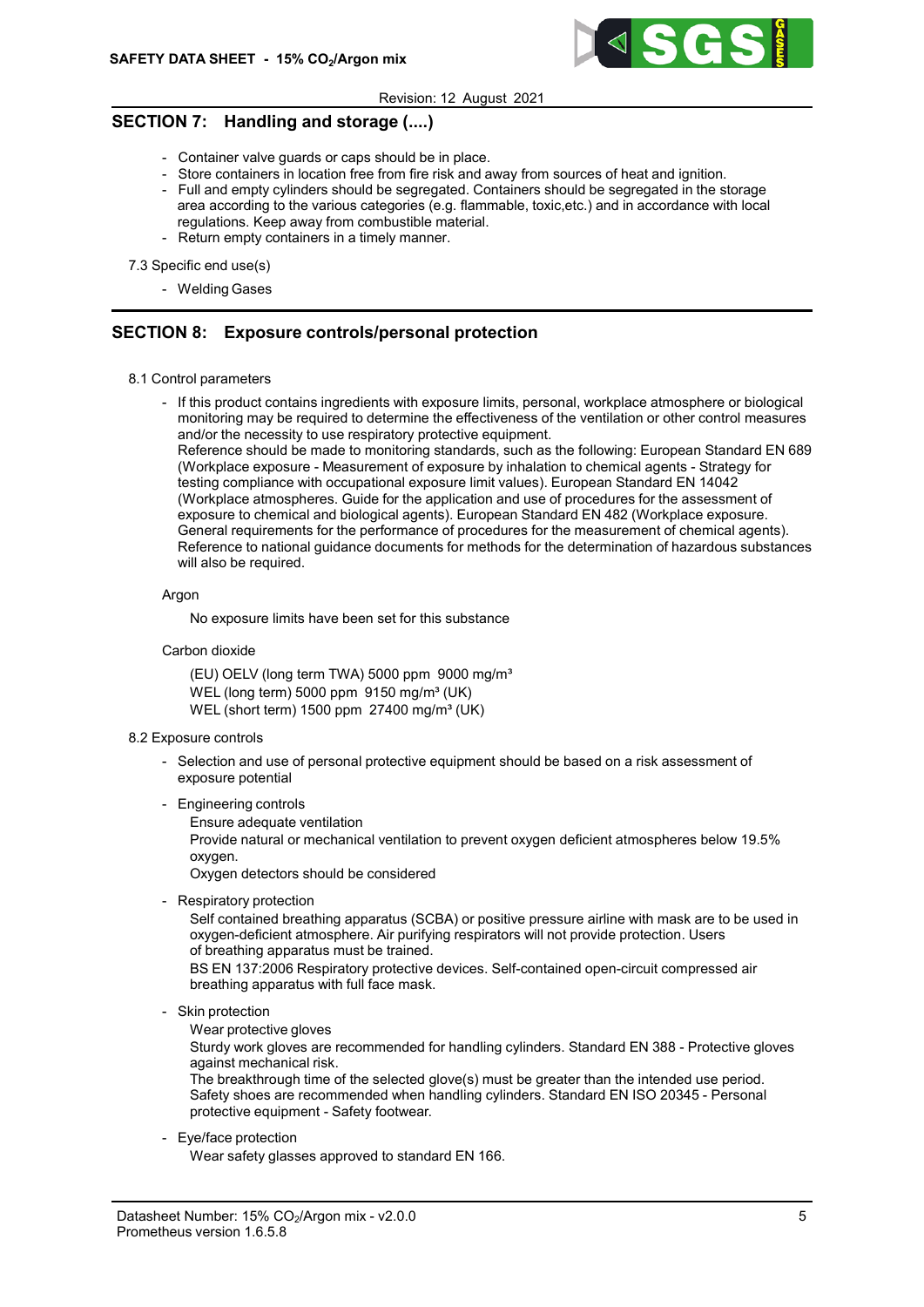

# SECTION 7: Handling and storage (....)

- Container valve guards or caps should be in place.
- Store containers in location free from fire risk and away from sources of heat and ignition. - Full and empty cylinders should be segregated. Containers should be segregated in the storage
- area according to the various categories (e.g. flammable, toxic,etc.) and in accordance with local regulations. Keep away from combustible material.
- Return empty containers in a timely manner.

7.3 Specific end use(s)

- Welding Gases

## SECTION 8: Exposure controls/personal protection

- 8.1 Control parameters
	- If this product contains ingredients with exposure limits, personal, workplace atmosphere or biological monitoring may be required to determine the effectiveness of the ventilation or other control measures and/or the necessity to use respiratory protective equipment.

Reference should be made to monitoring standards, such as the following: European Standard EN 689 (Workplace exposure - Measurement of exposure by inhalation to chemical agents - Strategy for testing compliance with occupational exposure limit values). European Standard EN 14042 (Workplace atmospheres. Guide for the application and use of procedures for the assessment of exposure to chemical and biological agents). European Standard EN 482 (Workplace exposure. General requirements for the performance of procedures for the measurement of chemical agents). Reference to national guidance documents for methods for the determination of hazardous substances will also be required.

Argon

No exposure limits have been set for this substance

Carbon dioxide

(EU) OELV (long term TWA) 5000 ppm 9000 mg/m<sup>3</sup> WEL (long term) 5000 ppm  $9150$  mg/m<sup>3</sup> (UK) WEL (short term)  $1500$  ppm  $27400$  mg/m<sup>3</sup> (UK)

- 8.2 Exposure controls
	- Selection and use of personal protective equipment should be based on a risk assessment of exposure potential
	- Engineering controls
		- Ensure adequate ventilation

Provide natural or mechanical ventilation to prevent oxygen deficient atmospheres below 19.5% oxygen.

Oxygen detectors should be considered

- Respiratory protection

Self contained breathing apparatus (SCBA) or positive pressure airline with mask are to be used in oxygen-deficient atmosphere. Air purifying respirators will not provide protection. Users of breathing apparatus must be trained.

BS EN 137:2006 Respiratory protective devices. Self-contained open-circuit compressed air breathing apparatus with full face mask.

- Skin protection

Wear protective gloves

Sturdy work gloves are recommended for handling cylinders. Standard EN 388 - Protective gloves against mechanical risk.

The breakthrough time of the selected glove(s) must be greater than the intended use period. Safety shoes are recommended when handling cylinders. Standard EN ISO 20345 - Personal protective equipment - Safety footwear.

- Eye/face protection

Wear safety glasses approved to standard EN 166.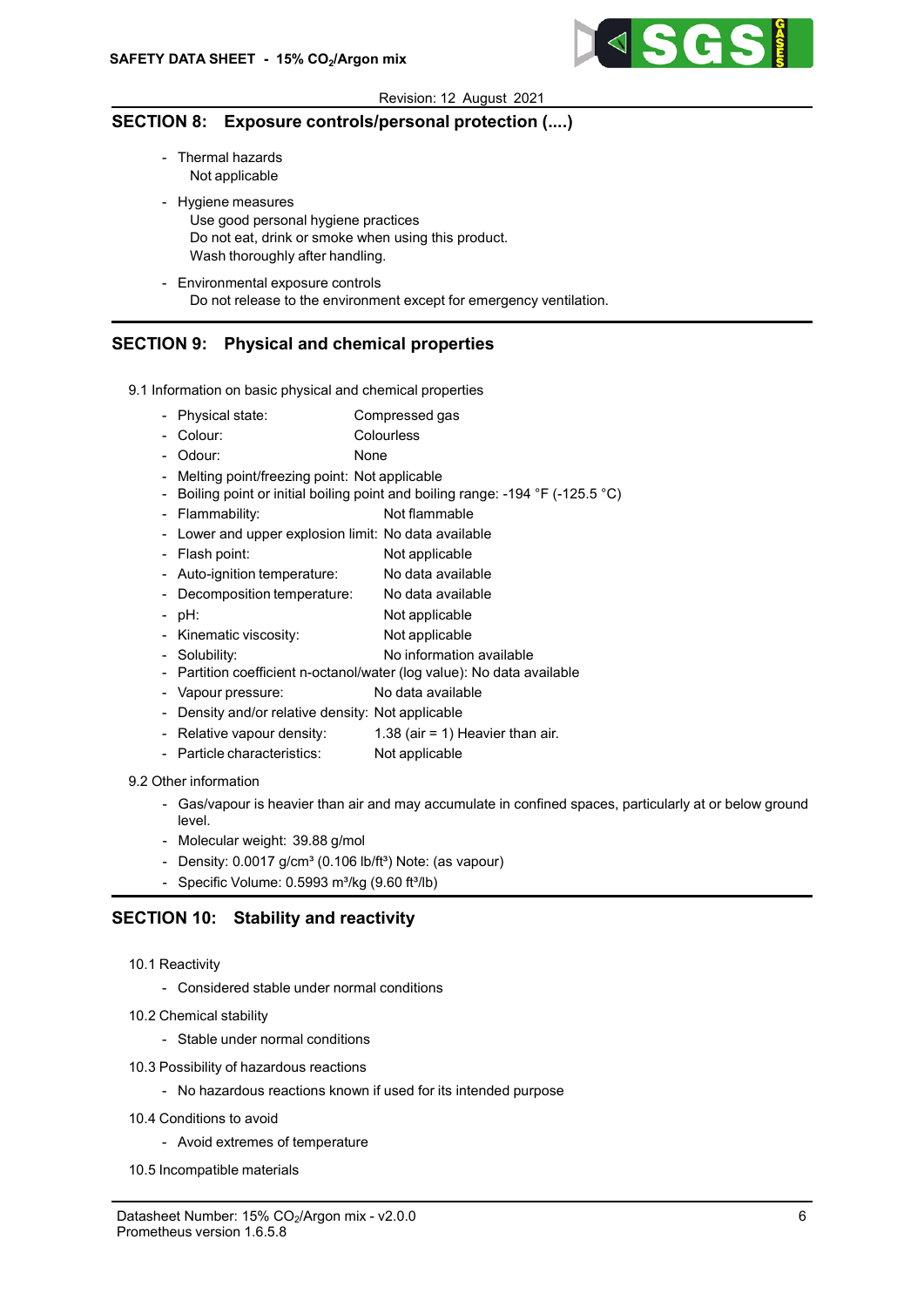

## SECTION 8: Exposure controls/personal protection (....)

- Thermal hazards Not applicable
- Hygiene measures Use good personal hygiene practices Do not eat, drink or smoke when using this product. Wash thoroughly after handling.
- Environmental exposure controls Do not release to the environment except for emergency ventilation.

## SECTION 9: Physical and chemical properties

- 9.1 Information on basic physical and chemical properties
	- Physical state: Compressed gas
	- Colour: Colourless
	- Odour: None
	- Melting point/freezing point: Not applicable
	- Boiling point or initial boiling point and boiling range: -194 °F (-125.5 °C)
	- Flammability: Not flammable
	- Lower and upper explosion limit: No data available
	- Flash point: Not applicable
	- Auto-ignition temperature: No data available
	- Decomposition temperature: No data available
	- pH: Not applicable
	- Kinematic viscosity: Not applicable
	- Solubility: No information available
	- Partition coefficient n-octanol/water (log value): No data available
	- Vapour pressure: No data available
	- Density and/or relative density: Not applicable
	- Relative vapour density:  $1.38$  (air = 1) Heavier than air.
	- Particle characteristics: Not applicable

## 9.2 Other information

- Gas/vapour is heavier than air and may accumulate in confined spaces, particularly at or below ground level.
- Molecular weight: 39.88 g/mol
- Density:  $0.0017$  g/cm<sup>3</sup> (0.106 lb/ft<sup>3</sup>) Note: (as vapour)
- Specific Volume:  $0.5993$  m<sup>3</sup>/kg ( $9.60$  ft $^{3}$ /lb)

## SECTION 10: Stability and reactivity

- 10.1 Reactivity
	- Considered stable under normal conditions
- 10.2 Chemical stability
	- Stable under normal conditions
- 10.3 Possibility of hazardous reactions
	- No hazardous reactions known if used for its intended purpose
- 10.4 Conditions to avoid
	- Avoid extremes of temperature
- 10.5 Incompatible materials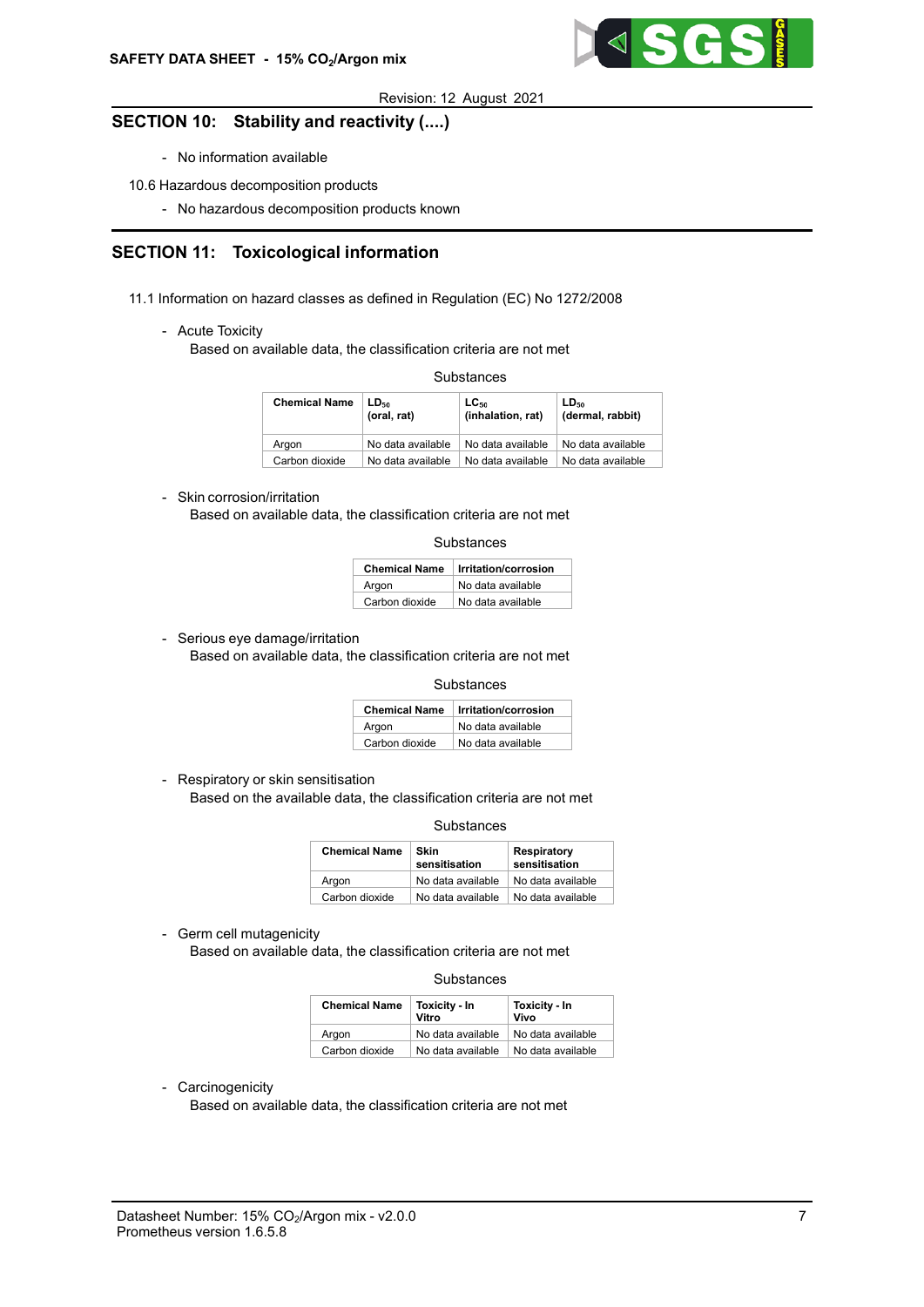

## SECTION 10: Stability and reactivity (....)

- No information available
- 10.6 Hazardous decomposition products
	- No hazardous decomposition products known

# SECTION 11: Toxicological information

- 11.1 Information on hazard classes as defined in Regulation (EC) No 1272/2008
	- Acute Toxicity

Based on available data, the classification criteria are not met

**Substances** 

| <b>Chemical Name</b> | LD <sub>50</sub><br>(oral, rat) | $LC_{50}$<br>(inhalation, rat) | LD <sub>50</sub><br>(dermal, rabbit) |
|----------------------|---------------------------------|--------------------------------|--------------------------------------|
| Araon                | No data available               | No data available              | No data available                    |
| Carbon dioxide       | No data available               | No data available              | No data available                    |

### - Skin corrosion/irritation

Based on available data, the classification criteria are not met

| Substances |
|------------|
|------------|

| <b>Chemical Name</b> | Irritation/corrosion |  |
|----------------------|----------------------|--|
| Argon                | No data available    |  |
| Carbon dioxide       | No data available    |  |

- Serious eye damage/irritation

Based on available data, the classification criteria are not met

**Substances** 

| <b>Chemical Name</b> | Irritation/corrosion |
|----------------------|----------------------|
| Argon                | No data available    |
| Carbon dioxide       | No data available    |

- Respiratory or skin sensitisation

Based on the available data, the classification criteria are not met

**Substances** 

| <b>Chemical Name</b> | Skin<br>sensitisation | <b>Respiratory</b><br>sensitisation |
|----------------------|-----------------------|-------------------------------------|
| Argon                | No data available     | No data available                   |
| Carbon dioxide       | No data available     | No data available                   |

- Germ cell mutagenicity

Based on available data, the classification criteria are not met

#### **Substances**

| <b>Chemical Name</b> | Toxicity - In<br>Vitro | Toxicity - In<br>Vivo |  |
|----------------------|------------------------|-----------------------|--|
| Araon                | No data available      | No data available     |  |
| Carbon dioxide       | No data available      | No data available     |  |

- Carcinogenicity

Based on available data, the classification criteria are not met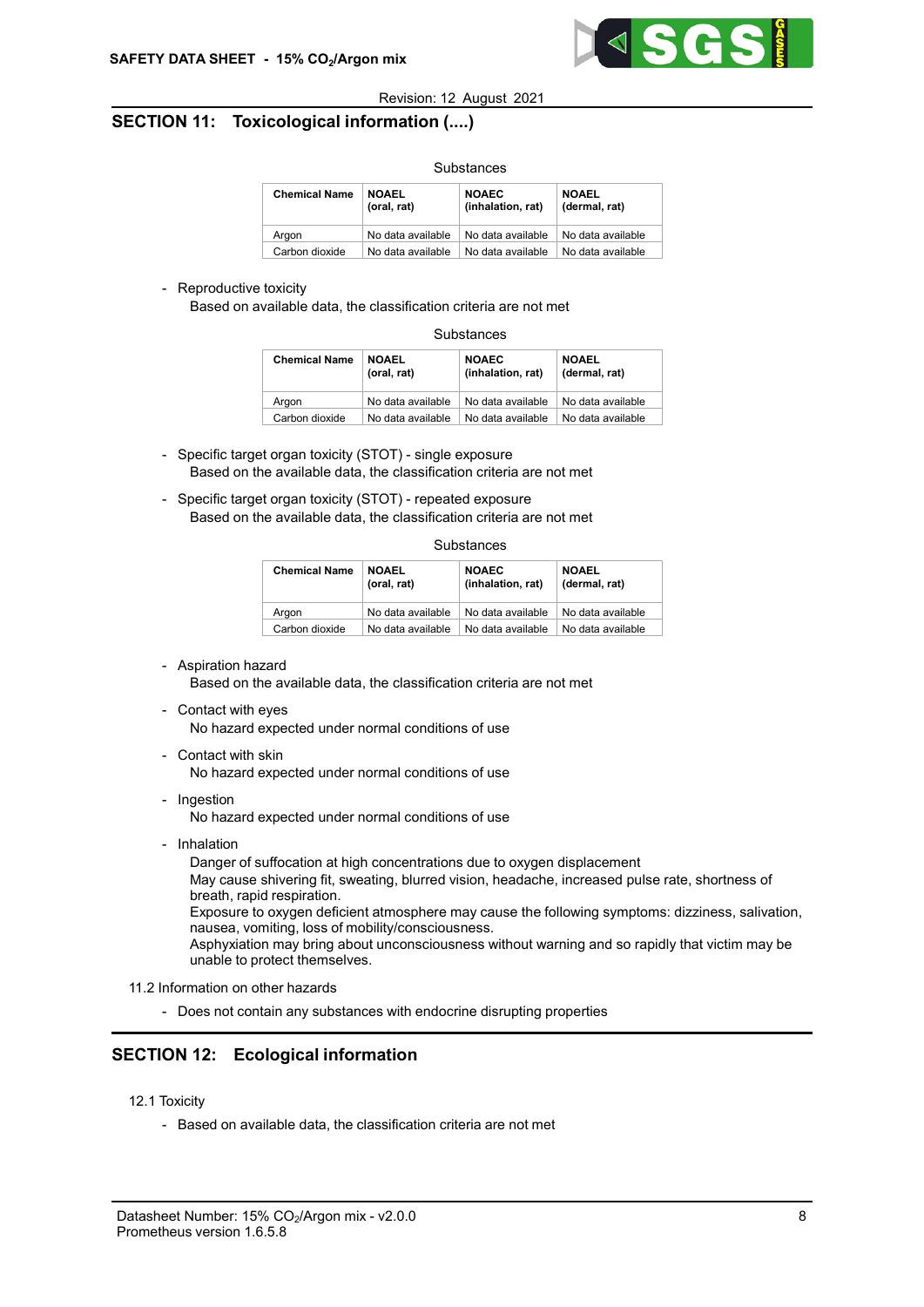

# SECTION 11: Toxicological information (....)

| <u>uubanta</u>       |                             |                                   |                               |  |  |
|----------------------|-----------------------------|-----------------------------------|-------------------------------|--|--|
| <b>Chemical Name</b> | <b>NOAEL</b><br>(oral, rat) | <b>NOAEC</b><br>(inhalation, rat) | <b>NOAEL</b><br>(dermal, rat) |  |  |
| Argon                | No data available           | No data available                 | No data available             |  |  |
| Carbon dioxide       | No data available           | No data available                 | No data available             |  |  |

Substances

### - Reproductive toxicity

Based on available data, the classification criteria are not met

| Substances |
|------------|
|------------|

| <b>Chemical Name</b> | <b>NOAEL</b><br>(oral, rat) | <b>NOAEC</b><br>(inhalation, rat) | <b>NOAEL</b><br>(dermal, rat) |
|----------------------|-----------------------------|-----------------------------------|-------------------------------|
| Argon                | No data available           | No data available                 | No data available             |
| Carbon dioxide       | No data available           | No data available                 | No data available             |

- Specific target organ toxicity (STOT) single exposure Based on the available data, the classification criteria are not met
- Specific target organ toxicity (STOT) repeated exposure Based on the available data, the classification criteria are not met

**Substances** 

| <b>Chemical Name</b> | <b>NOAEL</b><br>(oral, rat) | <b>NOAEC</b><br>(inhalation, rat) | <b>NOAEL</b><br>(dermal, rat) |
|----------------------|-----------------------------|-----------------------------------|-------------------------------|
| Araon                | No data available           | No data available                 | No data available             |
| Carbon dioxide       | No data available           | No data available                 | No data available             |

### - Aspiration hazard

Based on the available data, the classification criteria are not met

- Contact with eyes

No hazard expected under normal conditions of use

- Contact with skin

No hazard expected under normal conditions of use

- Ingestion

No hazard expected under normal conditions of use

- Inhalation

Danger of suffocation at high concentrations due to oxygen displacement

May cause shivering fit, sweating, blurred vision, headache, increased pulse rate, shortness of breath, rapid respiration.

Exposure to oxygen deficient atmosphere may cause the following symptoms: dizziness, salivation, nausea, vomiting, loss of mobility/consciousness.

Asphyxiation may bring about unconsciousness without warning and so rapidly that victim may be unable to protect themselves.

- 11.2 Information on other hazards
	- Does not contain any substances with endocrine disrupting properties

# SECTION 12: Ecological information

- 12.1 Toxicity
	- Based on available data, the classification criteria are not met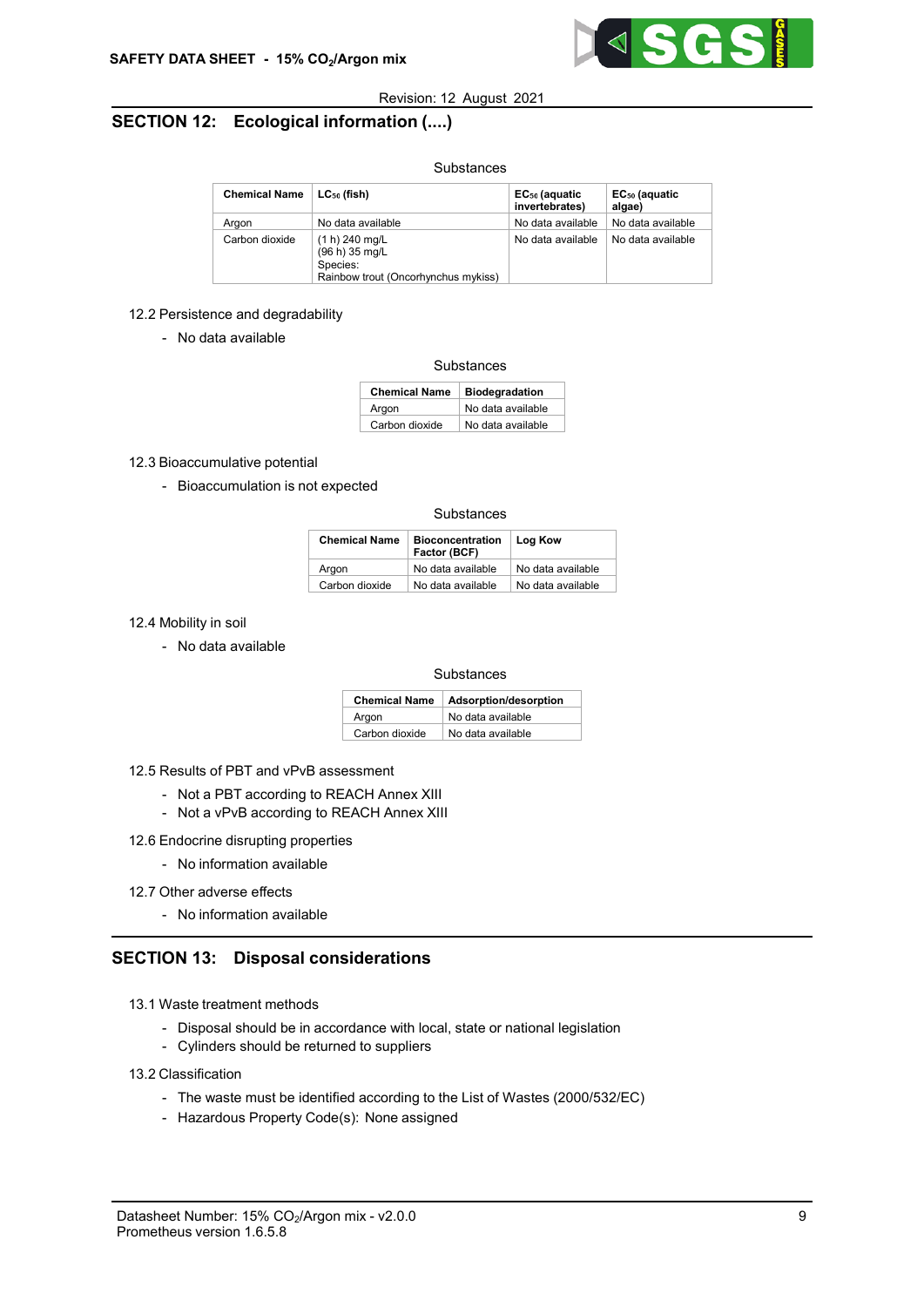

# SECTION 12: Ecological information (....)

### Substances

| <b>Chemical Name</b> | $\mid$ LC $_{50}$ (fish)                                                            | EC <sub>50</sub> (aquatic<br>invertebrates) | EC <sub>50</sub> (aquatic<br>algae) |
|----------------------|-------------------------------------------------------------------------------------|---------------------------------------------|-------------------------------------|
| Araon                | No data available                                                                   | No data available                           | No data available                   |
| Carbon dioxide       | (1 h) 240 mg/L<br>(96 h) 35 mg/L<br>Species:<br>Rainbow trout (Oncorhynchus mykiss) | No data available                           | No data available                   |

### 12.2 Persistence and degradability

- No data available

#### **Substances**

| <b>Chemical Name</b> | <b>Biodegradation</b> |
|----------------------|-----------------------|
| Argon                | No data available     |
| Carbon dioxide       | No data available     |

### 12.3 Bioaccumulative potential

- Bioaccumulation is not expected

#### **Substances**

| <b>Chemical Name</b> | <b>Bioconcentration</b><br>Factor (BCF) | Log Kow           |
|----------------------|-----------------------------------------|-------------------|
| Argon                | No data available                       | No data available |
| Carbon dioxide       | No data available                       | No data available |

### 12.4 Mobility in soil

- No data available

#### **Substances**

| <b>Chemical Name</b> | Adsorption/desorption |
|----------------------|-----------------------|
| Argon                | No data available     |
| Carbon dioxide       | No data available     |

#### 12.5 Results of PBT and vPvB assessment

- Not a PBT according to REACH Annex XIII
- Not a vPvB according to REACH Annex XIII
- 12.6 Endocrine disrupting properties
	- No information available

### 12.7 Other adverse effects

- No information available

## SECTION 13: Disposal considerations

- 13.1 Waste treatment methods
	- Disposal should be in accordance with local, state or national legislation
	- Cylinders should be returned to suppliers

#### 13.2 Classification

- The waste must be identified according to the List of Wastes (2000/532/EC)
- Hazardous Property Code(s): None assigned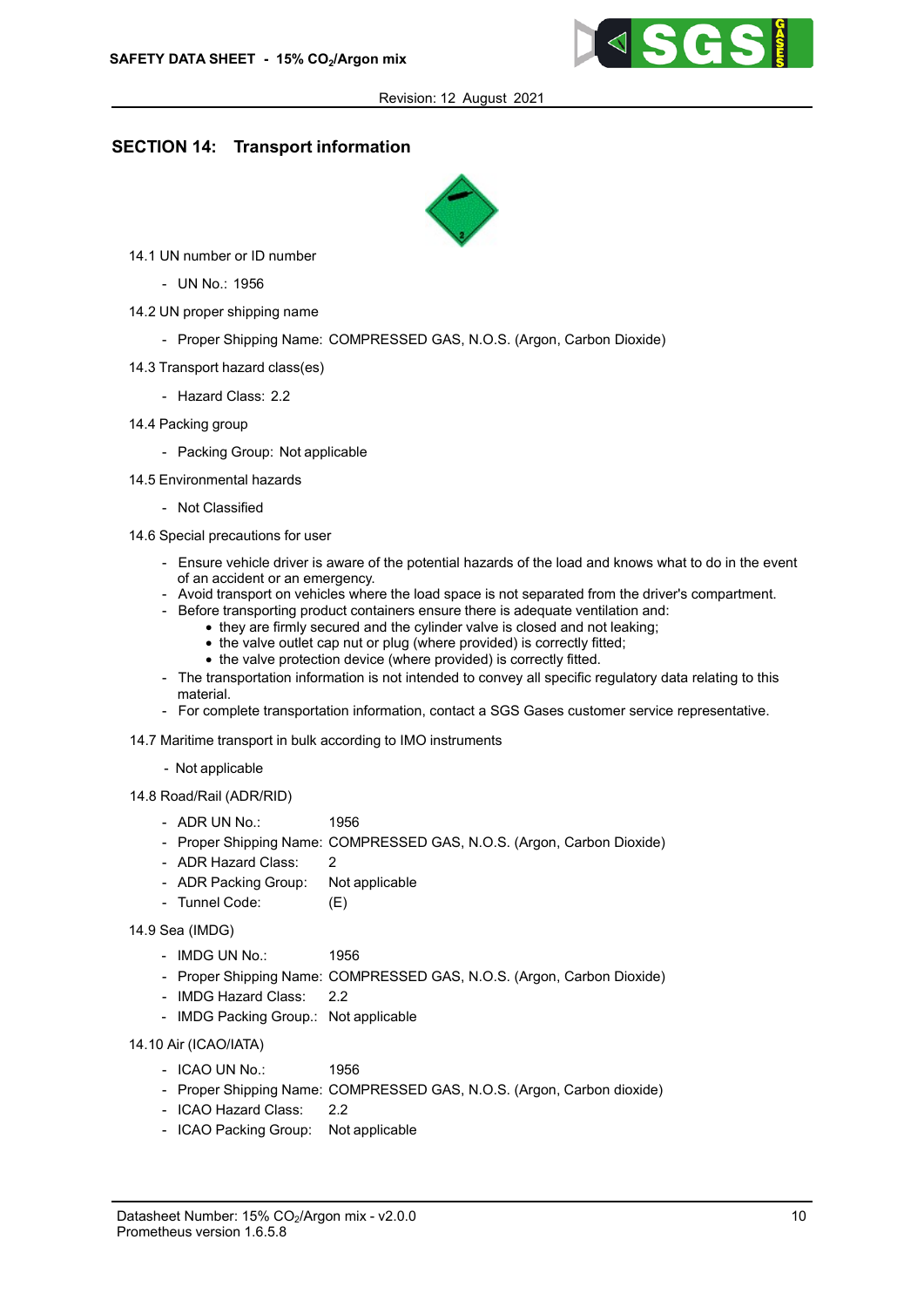

## SECTION 14: Transport information



- 14.1 UN number or ID number
	- UN No.: 1956
- 14.2 UN proper shipping name
	- Proper Shipping Name: COMPRESSED GAS, N.O.S. (Argon, Carbon Dioxide)
- 14.3 Transport hazard class(es)
	- Hazard Class: 2.2
- 14.4 Packing group
	- Packing Group: Not applicable
- 14.5 Environmental hazards
	- Not Classified
- 14.6 Special precautions for user
	- Ensure vehicle driver is aware of the potential hazards of the load and knows what to do in the event of an accident or an emergency.
	- Avoid transport on vehicles where the load space is not separated from the driver's compartment.
	- Before transporting product containers ensure there is adequate ventilation and:
		- they are firmly secured and the cylinder valve is closed and not leaking;
		- the valve outlet cap nut or plug (where provided) is correctly fitted;
		- the valve protection device (where provided) is correctly fitted.
	- The transportation information is not intended to convey all specific regulatory data relating to this material.
	- For complete transportation information, contact a SGS Gases customer service representative.
- 14.7 Maritime transport in bulk according to IMO instruments
	- Not applicable
- 14.8 Road/Rail (ADR/RID)
	- ADR UN No.: 1956
	- Proper Shipping Name: COMPRESSED GAS, N.O.S. (Argon, Carbon Dioxide)
	- ADR Hazard Class: 2
	- ADR Packing Group: Not applicable
	- Tunnel Code: (E)
- 14.9 Sea (IMDG)
	- 1956 - IMDG UN No.:
	- Proper Shipping Name: COMPRESSED GAS, N.O.S. (Argon, Carbon Dioxide)
	- IMDG Hazard Class: 2.2
	- IMDG Packing Group.: Not applicable

14.10 Air (ICAO/IATA)

- ICAO UN No.: 1956
- Proper Shipping Name: COMPRESSED GAS, N.O.S. (Argon, Carbon dioxide)
- ICAO Hazard Class: 2.2
- ICAO Packing Group: Not applicable